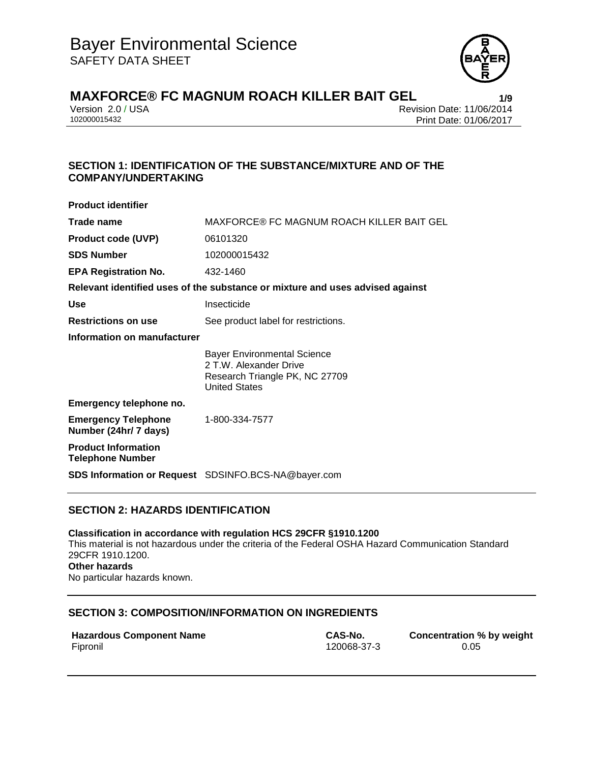

# **MAXFORCE® FC MAGNUM ROACH KILLER BAIT GEL**<br>Version 2.0 / USA<br>Revision Date: 11/06/2014

Version 2.0 / USA Revision Date: 11/06/2014<br>102000015432 Print Date: 01/06/2017 Print Date: 01/06/2017

## **SECTION 1: IDENTIFICATION OF THE SUBSTANCE/MIXTURE AND OF THE COMPANY/UNDERTAKING**

| <b>Product identifier</b>                             |                                                                                                                        |
|-------------------------------------------------------|------------------------------------------------------------------------------------------------------------------------|
| Trade name                                            | MAXFORCE® FC MAGNUM ROACH KILLER BAIT GEL                                                                              |
| <b>Product code (UVP)</b>                             | 06101320                                                                                                               |
| <b>SDS Number</b>                                     | 102000015432                                                                                                           |
| <b>EPA Registration No.</b>                           | 432-1460                                                                                                               |
|                                                       | Relevant identified uses of the substance or mixture and uses advised against                                          |
| Use                                                   | Insecticide                                                                                                            |
| <b>Restrictions on use</b>                            | See product label for restrictions.                                                                                    |
| Information on manufacturer                           |                                                                                                                        |
|                                                       | <b>Bayer Environmental Science</b><br>2 T.W. Alexander Drive<br>Research Triangle PK, NC 27709<br><b>United States</b> |
| Emergency telephone no.                               |                                                                                                                        |
| <b>Emergency Telephone</b><br>Number (24hr/ 7 days)   | 1-800-334-7577                                                                                                         |
| <b>Product Information</b><br><b>Telephone Number</b> |                                                                                                                        |
|                                                       | <b>SDS Information or Request</b> SDSINFO.BCS-NA@bayer.com                                                             |

## **SECTION 2: HAZARDS IDENTIFICATION**

**Classification in accordance with regulation HCS 29CFR §1910.1200** This material is not hazardous under the criteria of the Federal OSHA Hazard Communication Standard 29CFR 1910.1200. **Other hazards** No particular hazards known.

## **SECTION 3: COMPOSITION/INFORMATION ON INGREDIENTS**

|          | <b>Hazardous Component Name</b> |  |
|----------|---------------------------------|--|
| Fipronil |                                 |  |

**CAS-No. Concentration % by weight** Fipronil 120068-37-3 0.05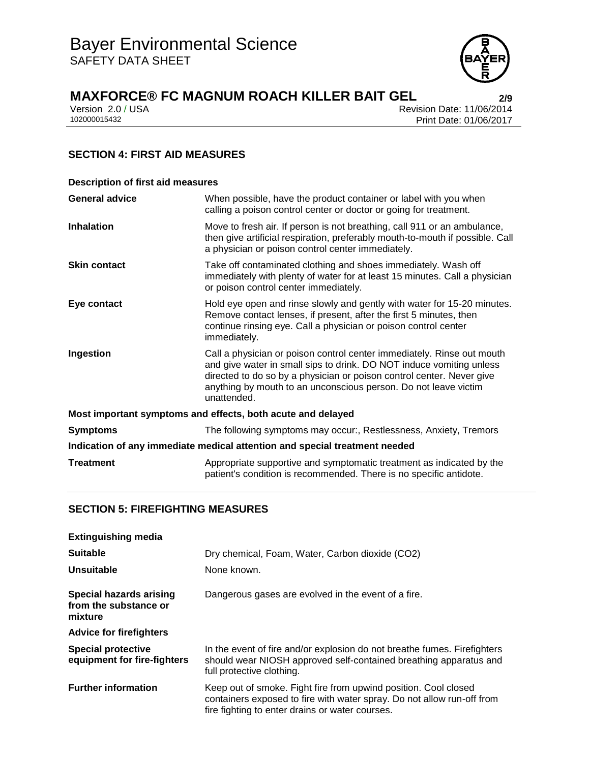

# **MAXFORCE® FC MAGNUM ROACH KILLER BAIT GEL 2/9**

| Version 2.0 / USA |  |
|-------------------|--|
| 102000015432      |  |

Revision Date: 11/06/2014 Print Date: 01/06/2017

## **SECTION 4: FIRST AID MEASURES**

| <b>Description of first aid measures</b>                                   |                                                                                                                                                                                                                                                                                                           |  |
|----------------------------------------------------------------------------|-----------------------------------------------------------------------------------------------------------------------------------------------------------------------------------------------------------------------------------------------------------------------------------------------------------|--|
| <b>General advice</b>                                                      | When possible, have the product container or label with you when<br>calling a poison control center or doctor or going for treatment.                                                                                                                                                                     |  |
| <b>Inhalation</b>                                                          | Move to fresh air. If person is not breathing, call 911 or an ambulance,<br>then give artificial respiration, preferably mouth-to-mouth if possible. Call<br>a physician or poison control center immediately.                                                                                            |  |
| <b>Skin contact</b>                                                        | Take off contaminated clothing and shoes immediately. Wash off<br>immediately with plenty of water for at least 15 minutes. Call a physician<br>or poison control center immediately.                                                                                                                     |  |
| Eye contact                                                                | Hold eye open and rinse slowly and gently with water for 15-20 minutes.<br>Remove contact lenses, if present, after the first 5 minutes, then<br>continue rinsing eye. Call a physician or poison control center<br>immediately.                                                                          |  |
| Ingestion                                                                  | Call a physician or poison control center immediately. Rinse out mouth<br>and give water in small sips to drink. DO NOT induce vomiting unless<br>directed to do so by a physician or poison control center. Never give<br>anything by mouth to an unconscious person. Do not leave victim<br>unattended. |  |
| Most important symptoms and effects, both acute and delayed                |                                                                                                                                                                                                                                                                                                           |  |
| <b>Symptoms</b>                                                            | The following symptoms may occur:, Restlessness, Anxiety, Tremors                                                                                                                                                                                                                                         |  |
| Indication of any immediate medical attention and special treatment needed |                                                                                                                                                                                                                                                                                                           |  |
| <b>Treatment</b>                                                           | Appropriate supportive and symptomatic treatment as indicated by the<br>patient's condition is recommended. There is no specific antidote.                                                                                                                                                                |  |

## **SECTION 5: FIREFIGHTING MEASURES**

| <b>Extinguishing media</b>                                  |                                                                                                                                                                                              |
|-------------------------------------------------------------|----------------------------------------------------------------------------------------------------------------------------------------------------------------------------------------------|
| <b>Suitable</b>                                             | Dry chemical, Foam, Water, Carbon dioxide (CO2)                                                                                                                                              |
| Unsuitable                                                  | None known.                                                                                                                                                                                  |
| Special hazards arising<br>from the substance or<br>mixture | Dangerous gases are evolved in the event of a fire.                                                                                                                                          |
| <b>Advice for firefighters</b>                              |                                                                                                                                                                                              |
| <b>Special protective</b><br>equipment for fire-fighters    | In the event of fire and/or explosion do not breathe fumes. Firefighters<br>should wear NIOSH approved self-contained breathing apparatus and<br>full protective clothing.                   |
| <b>Further information</b>                                  | Keep out of smoke. Fight fire from upwind position. Cool closed<br>containers exposed to fire with water spray. Do not allow run-off from<br>fire fighting to enter drains or water courses. |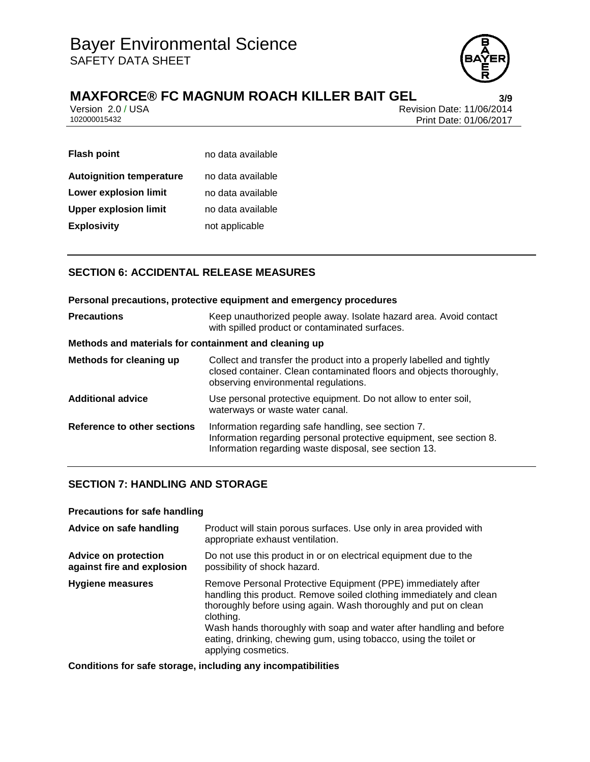

# **MAXFORCE®** FC MAGNUM ROACH KILLER BAIT GEL<br>**Version 2.0/USA**<br>Revision Date: 11/06/2014

Version 2.0 / USA Revision Date: 11/06/2014<br>102000015432 Print Date: 01/06/2017 Print Date: 01/06/2017

| <b>Flash point</b>              | no data available |
|---------------------------------|-------------------|
| <b>Autoignition temperature</b> | no data available |
| <b>Lower explosion limit</b>    | no data available |
| <b>Upper explosion limit</b>    | no data available |
| <b>Explosivity</b>              | not applicable    |

## **SECTION 6: ACCIDENTAL RELEASE MEASURES**

| Personal precautions, protective equipment and emergency procedures |                                                                                                                                                                                      |  |
|---------------------------------------------------------------------|--------------------------------------------------------------------------------------------------------------------------------------------------------------------------------------|--|
| <b>Precautions</b>                                                  | Keep unauthorized people away. Isolate hazard area. Avoid contact<br>with spilled product or contaminated surfaces.                                                                  |  |
| Methods and materials for containment and cleaning up               |                                                                                                                                                                                      |  |
| Methods for cleaning up                                             | Collect and transfer the product into a properly labelled and tightly<br>closed container. Clean contaminated floors and objects thoroughly,<br>observing environmental regulations. |  |
| <b>Additional advice</b>                                            | Use personal protective equipment. Do not allow to enter soil,<br>waterways or waste water canal.                                                                                    |  |
| Reference to other sections                                         | Information regarding safe handling, see section 7.<br>Information regarding personal protective equipment, see section 8.<br>Information regarding waste disposal, see section 13.  |  |

## **SECTION 7: HANDLING AND STORAGE**

#### **Precautions for safe handling**

| Advice on safe handling                                   | Product will stain porous surfaces. Use only in area provided with<br>appropriate exhaust ventilation.                                                                                                                                                                                                                                                                                 |
|-----------------------------------------------------------|----------------------------------------------------------------------------------------------------------------------------------------------------------------------------------------------------------------------------------------------------------------------------------------------------------------------------------------------------------------------------------------|
| <b>Advice on protection</b><br>against fire and explosion | Do not use this product in or on electrical equipment due to the<br>possibility of shock hazard.                                                                                                                                                                                                                                                                                       |
| <b>Hygiene measures</b>                                   | Remove Personal Protective Equipment (PPE) immediately after<br>handling this product. Remove soiled clothing immediately and clean<br>thoroughly before using again. Wash thoroughly and put on clean<br>clothing.<br>Wash hands thoroughly with soap and water after handling and before<br>eating, drinking, chewing gum, using tobacco, using the toilet or<br>applying cosmetics. |

**Conditions for safe storage, including any incompatibilities**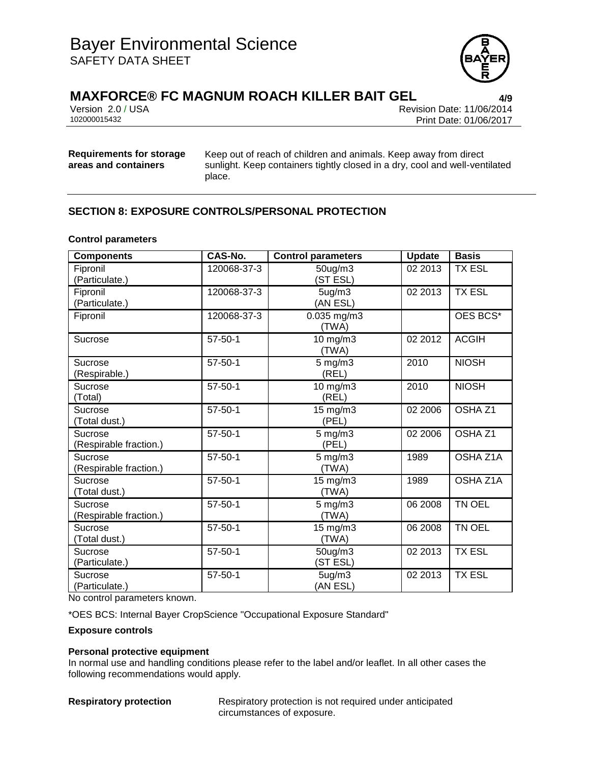

## **MAXFORCE® FC MAGNUM ROACH KILLER BAIT GEL 4/9**

Version 2.0 / USA Revision Date: 11/06/2014<br>102000015432 Print Date: 01/06/2017 Print Date: 01/06/2017

### **Requirements for storage areas and containers**

Keep out of reach of children and animals. Keep away from direct sunlight. Keep containers tightly closed in a dry, cool and well-ventilated place.

## **SECTION 8: EXPOSURE CONTROLS/PERSONAL PROTECTION**

#### **Control parameters**

| <b>Components</b>                 | CAS-No.       | <b>Control parameters</b>    | <b>Update</b> | <b>Basis</b>       |
|-----------------------------------|---------------|------------------------------|---------------|--------------------|
| Fipronil<br>(Particulate.)        | 120068-37-3   | 50ug/m3<br>(ST ESL)          | 02 2013       | <b>TX ESL</b>      |
| Fipronil<br>(Particulate.)        | 120068-37-3   | 5ug/m3<br>(AN ESL)           | 02 2013       | <b>TX ESL</b>      |
| Fipronil                          | 120068-37-3   | $0.035$ mg/m3<br>(TWA)       |               | OES BCS*           |
| Sucrose                           | $57 - 50 - 1$ | 10 mg/m3<br>(TWA)            | 02 2012       | <b>ACGIH</b>       |
| Sucrose<br>(Respirable.)          | $57 - 50 - 1$ | $5$ mg/m $3$<br>(REL)        | 2010          | <b>NIOSH</b>       |
| Sucrose<br>(Total)                | $57 - 50 - 1$ | $10$ mg/m $3$<br>(REL)       | 2010          | <b>NIOSH</b>       |
| Sucrose<br>(Total dust.)          | $57 - 50 - 1$ | $15 \text{ mg/m}$ 3<br>(PEL) | 02 2006       | OSHA Z1            |
| Sucrose<br>(Respirable fraction.) | $57 - 50 - 1$ | $5 \text{ mg/m}$ 3<br>(PEL)  | 02 2006       | OSHA <sub>Z1</sub> |
| Sucrose<br>(Respirable fraction.) | $57 - 50 - 1$ | $5 \text{ mg/m}$ 3<br>(TWA)  | 1989          | OSHA Z1A           |
| Sucrose<br>(Total dust.)          | $57 - 50 - 1$ | $15$ mg/m $3$<br>(TWA)       | 1989          | OSHA Z1A           |
| Sucrose<br>(Respirable fraction.) | $57 - 50 - 1$ | $5 \text{ mg/m}$ 3<br>(TWA)  | 06 2008       | <b>TN OEL</b>      |
| Sucrose<br>(Total dust.)          | $57 - 50 - 1$ | 15 mg/m3<br>(TWA)            | 06 2008       | TN OEL             |
| Sucrose<br>(Particulate.)         | $57 - 50 - 1$ | 50ug/m3<br>(ST ESL)          | 02 2013       | <b>TX ESL</b>      |
| Sucrose<br>(Particulate.)         | $57 - 50 - 1$ | 5ug/m3<br>(AN ESL)           | 02 2013       | <b>TX ESL</b>      |

No control parameters known.

\*OES BCS: Internal Bayer CropScience "Occupational Exposure Standard"

#### **Exposure controls**

#### **Personal protective equipment**

In normal use and handling conditions please refer to the label and/or leaflet. In all other cases the following recommendations would apply.

**Respiratory protection** Respiratory protection is not required under anticipated circumstances of exposure.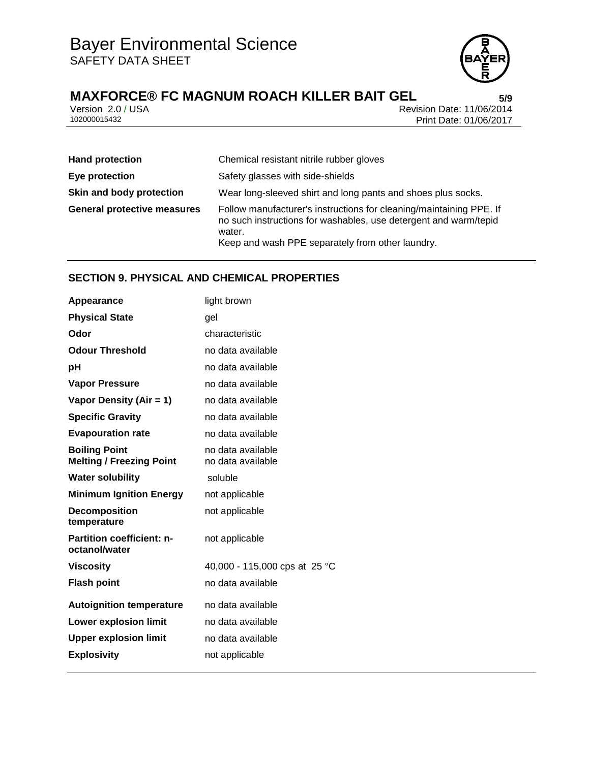

# **MAXFORCE®** FC MAGNUM ROACH KILLER BAIT GEL<br>**Version 2.0/USA** Prevision Date: 11/06/2014

Version 2.0 / USA Revision Date: 11/06/2014<br>102000015432 Print Date: 01/06/2017 Print Date: 01/06/2017

| <b>Hand protection</b>             | Chemical resistant nitrile rubber gloves                                                                                                                                                              |
|------------------------------------|-------------------------------------------------------------------------------------------------------------------------------------------------------------------------------------------------------|
| Eye protection                     | Safety glasses with side-shields                                                                                                                                                                      |
| Skin and body protection           | Wear long-sleeved shirt and long pants and shoes plus socks.                                                                                                                                          |
| <b>General protective measures</b> | Follow manufacturer's instructions for cleaning/maintaining PPE. If<br>no such instructions for washables, use detergent and warm/tepid<br>water.<br>Keep and wash PPE separately from other laundry. |

## **SECTION 9. PHYSICAL AND CHEMICAL PROPERTIES**

| Appearance                                              | light brown                            |
|---------------------------------------------------------|----------------------------------------|
| <b>Physical State</b>                                   | qel                                    |
| Odor                                                    | characteristic                         |
| <b>Odour Threshold</b>                                  | no data available                      |
| рH                                                      | no data available                      |
| <b>Vapor Pressure</b>                                   | no data available                      |
| Vapor Density (Air = 1)                                 | no data available                      |
| <b>Specific Gravity</b>                                 | no data available                      |
| <b>Evapouration rate</b>                                | no data available                      |
| <b>Boiling Point</b><br><b>Melting / Freezing Point</b> | no data available<br>no data available |
| <b>Water solubility</b>                                 | soluble                                |
| <b>Minimum Ignition Energy</b>                          | not applicable                         |
| <b>Decomposition</b><br>temperature                     | not applicable                         |
| <b>Partition coefficient: n-</b><br>octanol/water       | not applicable                         |
| <b>Viscosity</b>                                        | 40,000 - 115,000 cps at 25 °C          |
| <b>Flash point</b>                                      | no data available                      |
| <b>Autoignition temperature</b>                         | no data available                      |
| <b>Lower explosion limit</b>                            | no data available                      |
| <b>Upper explosion limit</b>                            | no data available                      |
| <b>Explosivity</b>                                      | not applicable                         |
|                                                         |                                        |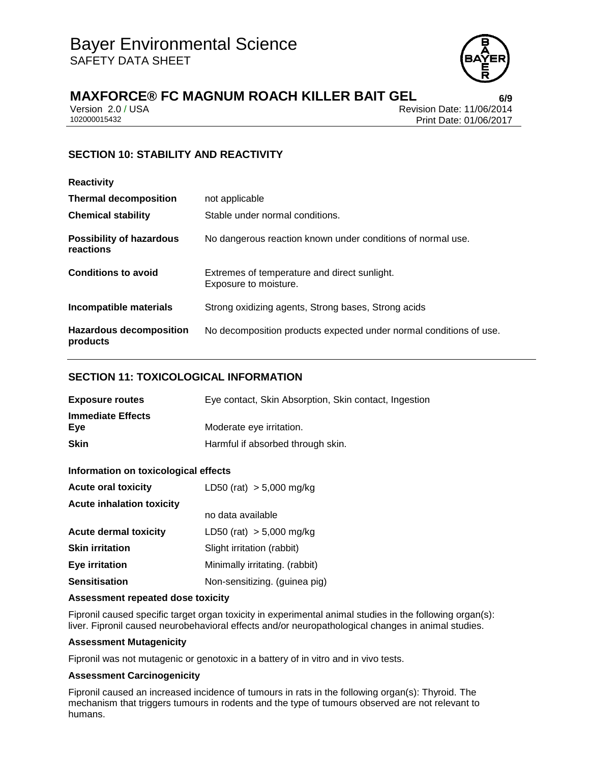

# **MAXFORCE® FC MAGNUM ROACH KILLER BAIT GEL 6/9**

Version 2.0 / USA Revision Date: 11/06/2014<br>102000015432 Print Date: 01/06/2017 Print Date: 01/06/2017

## **SECTION 10: STABILITY AND REACTIVITY**

| <b>Reactivity</b>                            |                                                                       |
|----------------------------------------------|-----------------------------------------------------------------------|
| <b>Thermal decomposition</b>                 | not applicable                                                        |
| <b>Chemical stability</b>                    | Stable under normal conditions.                                       |
| <b>Possibility of hazardous</b><br>reactions | No dangerous reaction known under conditions of normal use.           |
| <b>Conditions to avoid</b>                   | Extremes of temperature and direct sunlight.<br>Exposure to moisture. |
| Incompatible materials                       | Strong oxidizing agents, Strong bases, Strong acids                   |
| <b>Hazardous decomposition</b><br>products   | No decomposition products expected under normal conditions of use.    |

#### **SECTION 11: TOXICOLOGICAL INFORMATION**

| <b>Exposure routes</b>          | Eye contact, Skin Absorption, Skin contact, Ingestion |
|---------------------------------|-------------------------------------------------------|
| <b>Immediate Effects</b><br>Eve | Moderate eye irritation.                              |
| <b>Skin</b>                     | Harmful if absorbed through skin.                     |

#### **Information on toxicological effects**

| <b>Acute oral toxicity</b>       | LD50 (rat) $> 5,000$ mg/kg     |  |
|----------------------------------|--------------------------------|--|
| <b>Acute inhalation toxicity</b> |                                |  |
|                                  | no data available              |  |
| <b>Acute dermal toxicity</b>     | LD50 (rat) $> 5,000$ mg/kg     |  |
| <b>Skin irritation</b>           | Slight irritation (rabbit)     |  |
| Eye irritation                   | Minimally irritating. (rabbit) |  |
| <b>Sensitisation</b>             | Non-sensitizing. (guinea pig)  |  |

#### **Assessment repeated dose toxicity**

Fipronil caused specific target organ toxicity in experimental animal studies in the following organ(s): liver. Fipronil caused neurobehavioral effects and/or neuropathological changes in animal studies.

#### **Assessment Mutagenicity**

Fipronil was not mutagenic or genotoxic in a battery of in vitro and in vivo tests.

#### **Assessment Carcinogenicity**

Fipronil caused an increased incidence of tumours in rats in the following organ(s): Thyroid. The mechanism that triggers tumours in rodents and the type of tumours observed are not relevant to humans.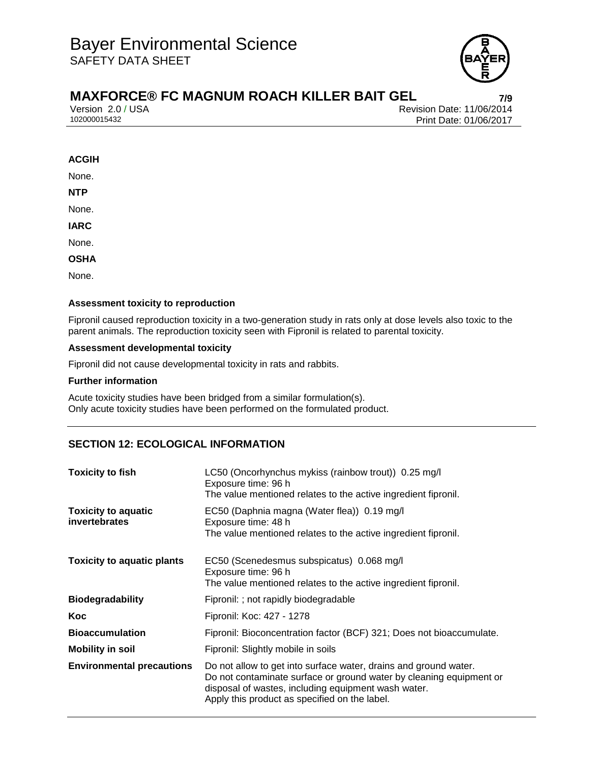

# **MAXFORCE® FC MAGNUM ROACH KILLER BAIT GEL 7/9**

Version 2.0 / USA Revision Date: 11/06/2014<br>102000015432 Print Date: 01/06/2017 Print Date: 01/06/2017

#### **ACGIH**

None.

**NTP**

None.

**IARC**

None.

#### **OSHA**

None.

#### **Assessment toxicity to reproduction**

Fipronil caused reproduction toxicity in a two-generation study in rats only at dose levels also toxic to the parent animals. The reproduction toxicity seen with Fipronil is related to parental toxicity.

#### **Assessment developmental toxicity**

Fipronil did not cause developmental toxicity in rats and rabbits.

#### **Further information**

Acute toxicity studies have been bridged from a similar formulation(s). Only acute toxicity studies have been performed on the formulated product.

## **SECTION 12: ECOLOGICAL INFORMATION**

| <b>Toxicity to fish</b>                     | LC50 (Oncorhynchus mykiss (rainbow trout)) 0.25 mg/l<br>Exposure time: 96 h<br>The value mentioned relates to the active ingredient fipronil.                                                                                                   |  |  |
|---------------------------------------------|-------------------------------------------------------------------------------------------------------------------------------------------------------------------------------------------------------------------------------------------------|--|--|
| <b>Toxicity to aquatic</b><br>invertebrates | EC50 (Daphnia magna (Water flea)) 0.19 mg/l<br>Exposure time: 48 h<br>The value mentioned relates to the active ingredient fipronil.                                                                                                            |  |  |
| <b>Toxicity to aquatic plants</b>           | EC50 (Scenedesmus subspicatus) 0.068 mg/l<br>Exposure time: 96 h<br>The value mentioned relates to the active ingredient fipronil.                                                                                                              |  |  |
| <b>Biodegradability</b>                     | Fipronil: ; not rapidly biodegradable                                                                                                                                                                                                           |  |  |
| Koc                                         | Fipronil: Koc: 427 - 1278                                                                                                                                                                                                                       |  |  |
| <b>Bioaccumulation</b>                      | Fipronil: Bioconcentration factor (BCF) 321; Does not bioaccumulate.                                                                                                                                                                            |  |  |
| <b>Mobility in soil</b>                     | Fipronil: Slightly mobile in soils                                                                                                                                                                                                              |  |  |
| <b>Environmental precautions</b>            | Do not allow to get into surface water, drains and ground water.<br>Do not contaminate surface or ground water by cleaning equipment or<br>disposal of wastes, including equipment wash water.<br>Apply this product as specified on the label. |  |  |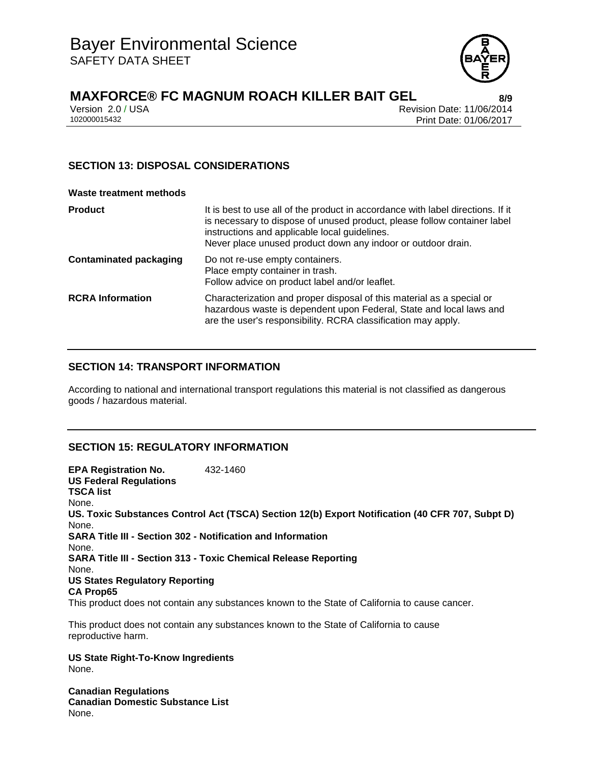

# **MAXFORCE® FC MAGNUM ROACH KILLER BAIT GEL 8/9**

Version 2.0 / USA Revision Date: 11/06/2014<br>102000015432 Print Date: 01/06/2017 Print Date: 01/06/2017

## **SECTION 13: DISPOSAL CONSIDERATIONS**

#### **Waste treatment methods**

| <b>Product</b>                | It is best to use all of the product in accordance with label directions. If it<br>is necessary to dispose of unused product, please follow container label<br>instructions and applicable local guidelines.<br>Never place unused product down any indoor or outdoor drain. |
|-------------------------------|------------------------------------------------------------------------------------------------------------------------------------------------------------------------------------------------------------------------------------------------------------------------------|
| <b>Contaminated packaging</b> | Do not re-use empty containers.<br>Place empty container in trash.<br>Follow advice on product label and/or leaflet.                                                                                                                                                         |
| <b>RCRA Information</b>       | Characterization and proper disposal of this material as a special or<br>hazardous waste is dependent upon Federal, State and local laws and<br>are the user's responsibility. RCRA classification may apply.                                                                |

#### **SECTION 14: TRANSPORT INFORMATION**

According to national and international transport regulations this material is not classified as dangerous goods / hazardous material.

## **SECTION 15: REGULATORY INFORMATION**

**EPA Registration No.** 432-1460 **US Federal Regulations TSCA list** None. **US. Toxic Substances Control Act (TSCA) Section 12(b) Export Notification (40 CFR 707, Subpt D)** None. **SARA Title III - Section 302 - Notification and Information** None. **SARA Title III - Section 313 - Toxic Chemical Release Reporting** None. **US States Regulatory Reporting CA Prop65** This product does not contain any substances known to the State of California to cause cancer.

This product does not contain any substances known to the State of California to cause reproductive harm.

**US State Right-To-Know Ingredients** None.

**Canadian Regulations Canadian Domestic Substance List** None.